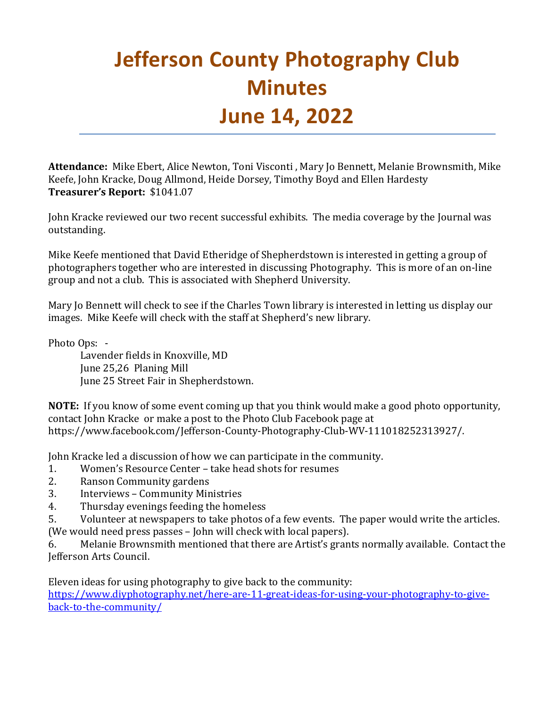## **Jefferson County Photography Club Minutes June 14, 2022**

**Attendance:** Mike Ebert, Alice Newton, Toni Visconti , Mary Jo Bennett, Melanie Brownsmith, Mike Keefe, John Kracke, Doug Allmond, Heide Dorsey, Timothy Boyd and Ellen Hardesty **Treasurer's Report:** \$1041.07

John Kracke reviewed our two recent successful exhibits. The media coverage by the Journal was outstanding.

Mike Keefe mentioned that David Etheridge of Shepherdstown is interested in getting a group of photographers together who are interested in discussing Photography. This is more of an on-line group and not a club. This is associated with Shepherd University.

Mary Jo Bennett will check to see if the Charles Town library is interested in letting us display our images. Mike Keefe will check with the staff at Shepherd's new library.

Photo Ops: -

Lavender fields in Knoxville, MD June 25,26 Planing Mill June 25 Street Fair in Shepherdstown.

**NOTE:** If you know of some event coming up that you think would make a good photo opportunity, contact John Kracke or make a post to the Photo Club Facebook page at https://www.facebook.com/Jefferson-County-Photography-Club-WV-111018252313927/.

John Kracke led a discussion of how we can participate in the community.<br>1. Women's Resource Center – take head shots for resumes

- 1. Women's Resource Center take head shots for resumes<br>2. Ranson Community gardens
- 2. Ranson Community gardens<br>3. Interviews Community Min
- 3. Interviews Community Ministries<br>4. Thursdav evenings feeding the hom
- Thursday evenings feeding the homeless
- 5. Volunteer at newspapers to take photos of a few events. The paper would write the articles.
- (We would need press passes John will check with local papers).<br>6. Melanie Brownsmith mentioned that there are Artist's gran

Melanie Brownsmith mentioned that there are Artist's grants normally available. Contact the Jefferson Arts Council.

Eleven ideas for using photography to give back to the community:

[https://www.diyphotography.net/here-are-11-great-ideas-for-using-your-photography-to-give](https://www.diyphotography.net/here-are-11-great-ideas-for-using-your-photography-to-give-back-to-the-community/)[back-to-the-community/](https://www.diyphotography.net/here-are-11-great-ideas-for-using-your-photography-to-give-back-to-the-community/)